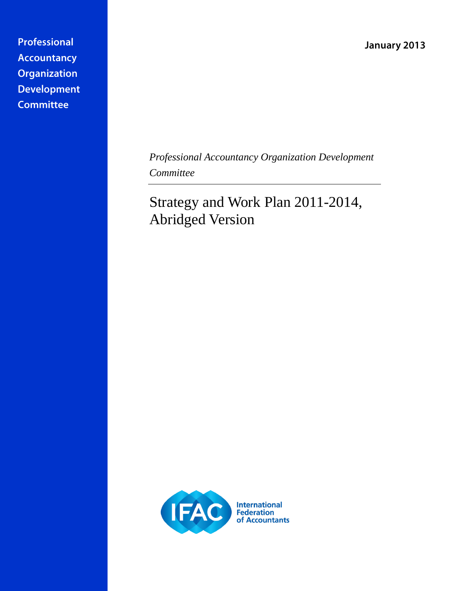January 2013

Professional **Accountancy** Organization **Development Committee** 

> *Professional Accountancy Organization Development Committee*

Strategy and Work Plan 2011-2014, Abridged Version

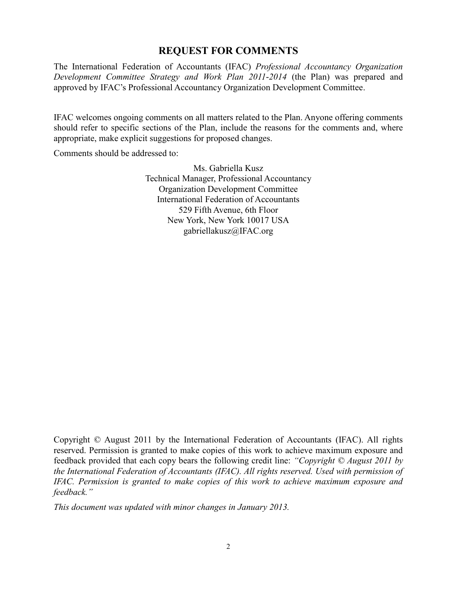# **REQUEST FOR COMMENTS**

The International Federation of Accountants (IFAC) *Professional Accountancy Organization Development Committee Strategy and Work Plan 2011-2014* (the Plan) was prepared and approved by IFAC's Professional Accountancy Organization Development Committee.

IFAC welcomes ongoing comments on all matters related to the Plan. Anyone offering comments should refer to specific sections of the Plan, include the reasons for the comments and, where appropriate, make explicit suggestions for proposed changes.

Comments should be addressed to:

Ms. Gabriella Kusz Technical Manager, Professional Accountancy Organization Development Committee International Federation of Accountants 529 Fifth Avenue, 6th Floor New York, New York 10017 USA [gabriellakusz@IFAC.org](mailto:gabriellakusz@IFAC.org)

Copyright © August 2011 by the International Federation of Accountants (IFAC). All rights reserved. Permission is granted to make copies of this work to achieve maximum exposure and feedback provided that each copy bears the following credit line: *"Copyright © August 2011 by the International Federation of Accountants (IFAC). All rights reserved. Used with permission of IFAC. Permission is granted to make copies of this work to achieve maximum exposure and feedback."*

*This document was updated with minor changes in January 2013.*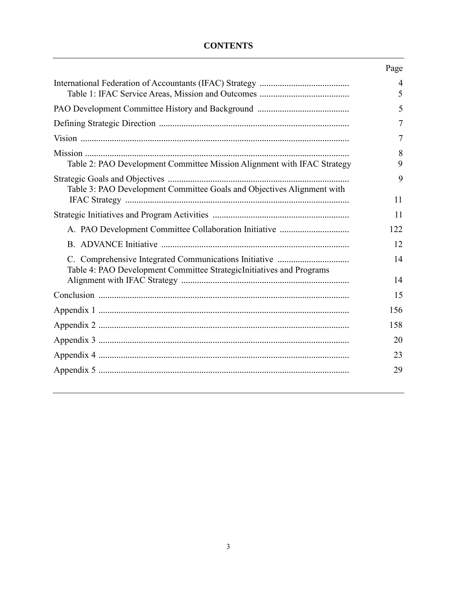## **CONTENTS**

|                                                                         | Page                |
|-------------------------------------------------------------------------|---------------------|
|                                                                         | $\overline{4}$<br>5 |
|                                                                         | 5                   |
|                                                                         | 7                   |
|                                                                         | 7                   |
| Table 2: PAO Development Committee Mission Alignment with IFAC Strategy | 8<br>9              |
| Table 3: PAO Development Committee Goals and Objectives Alignment with  | 9                   |
|                                                                         | 11                  |
|                                                                         | 11                  |
|                                                                         | 122                 |
|                                                                         | 12                  |
| Table 4: PAO Development Committee StrategicInitiatives and Programs    | 14                  |
|                                                                         | 14                  |
|                                                                         | 15                  |
|                                                                         | 156                 |
|                                                                         | 158                 |
|                                                                         | 20                  |
|                                                                         | 23                  |
|                                                                         | 29                  |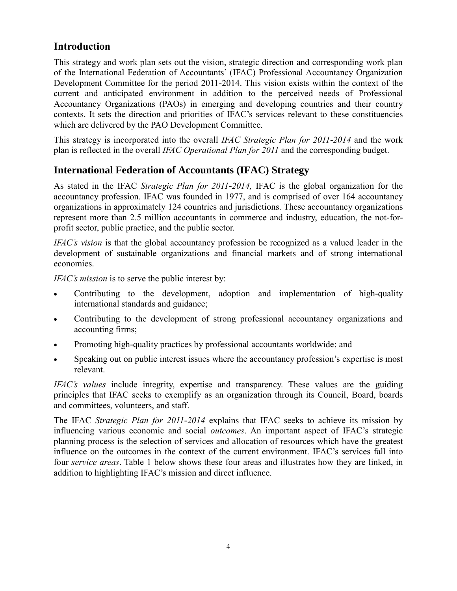# **Introduction**

This strategy and work plan sets out the vision, strategic direction and corresponding work plan of the International Federation of Accountants' (IFAC) Professional Accountancy Organization Development Committee for the period 2011-2014. This vision exists within the context of the current and anticipated environment in addition to the perceived needs of Professional Accountancy Organizations (PAOs) in emerging and developing countries and their country contexts. It sets the direction and priorities of IFAC's services relevant to these constituencies which are delivered by the PAO Development Committee.

This strategy is incorporated into the overall *IFAC Strategic Plan for 2011-2014* and the work plan is reflected in the overall *IFAC Operational Plan for 2011* and the corresponding budget.

# <span id="page-3-0"></span>**International Federation of Accountants (IFAC) Strategy**

As stated in the IFAC *Strategic Plan for 2011-2014,* IFAC is the global organization for the accountancy profession. IFAC was founded in 1977, and is comprised of over 164 accountancy organizations in approximately 124 countries and jurisdictions. These accountancy organizations represent more than 2.5 million accountants in commerce and industry, education, the not-forprofit sector, public practice, and the public sector.

*IFAC's vision* is that the global accountancy profession be recognized as a valued leader in the development of sustainable organizations and financial markets and of strong international economies.

*IFAC's mission* is to serve the public interest by:

- Contributing to the development, adoption and implementation of high-quality international standards and guidance;
- Contributing to the development of strong professional accountancy organizations and accounting firms;
- Promoting high-quality practices by professional accountants worldwide; and
- Speaking out on public interest issues where the accountancy profession's expertise is most relevant.

*IFAC's values* include integrity, expertise and transparency. These values are the guiding principles that IFAC seeks to exemplify as an organization through its Council, Board, boards and committees, volunteers, and staff.

The IFAC *Strategic Plan for 2011-2014* explains that IFAC seeks to achieve its mission by influencing various economic and social *outcomes*. An important aspect of IFAC's strategic planning process is the selection of services and allocation of resources which have the greatest influence on the outcomes in the context of the current environment. IFAC's services fall into four *service areas*. Table 1 below shows these four areas and illustrates how they are linked, in addition to highlighting IFAC's mission and direct influence.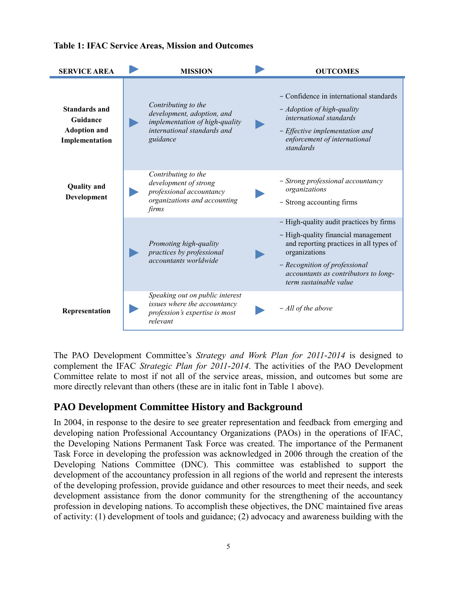

#### <span id="page-4-0"></span>**Table 1: IFAC Service Areas, Mission and Outcomes**

The PAO Development Committee's *Strategy and Work Plan for 2011-2014* is designed to complement the IFAC *Strategic Plan for 2011-2014*. The activities of the PAO Development Committee relate to most if not all of the service areas, mission, and outcomes but some are more directly relevant than others (these are in italic font in Table 1 above).

# <span id="page-4-1"></span>**PAO Development Committee History and Background**

In 2004, in response to the desire to see greater representation and feedback from emerging and developing nation Professional Accountancy Organizations (PAOs) in the operations of IFAC, the Developing Nations Permanent Task Force was created. The importance of the Permanent Task Force in developing the profession was acknowledged in 2006 through the creation of the Developing Nations Committee (DNC). This committee was established to support the development of the accountancy profession in all regions of the world and represent the interests of the developing profession, provide guidance and other resources to meet their needs, and seek development assistance from the donor community for the strengthening of the accountancy profession in developing nations. To accomplish these objectives, the DNC maintained five areas of activity: (1) development of tools and guidance; (2) advocacy and awareness building with the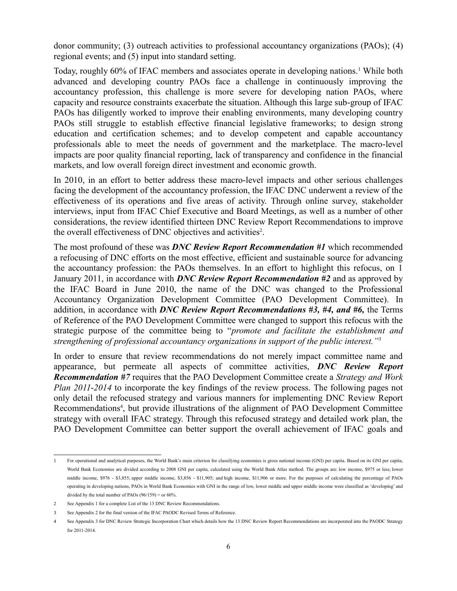donor community; (3) outreach activities to professional accountancy organizations (PAOs); (4) regional events; and (5) input into standard setting.

Today, roughly 60% of IFAC members and associates operate in developing nations.<sup>1</sup> While both advanced and developing country PAOs face a challenge in continuously improving the accountancy profession, this challenge is more severe for developing nation PAOs, where capacity and resource constraints exacerbate the situation. Although this large sub-group of IFAC PAOs has diligently worked to improve their enabling environments, many developing country PAOs still struggle to establish effective financial legislative frameworks; to design strong education and certification schemes; and to develop competent and capable accountancy professionals able to meet the needs of government and the marketplace. The macro-level impacts are poor quality financial reporting, lack of transparency and confidence in the financial markets, and low overall foreign direct investment and economic growth.

In 2010, in an effort to better address these macro-level impacts and other serious challenges facing the development of the accountancy profession, the IFAC DNC underwent a review of the effectiveness of its operations and five areas of activity. Through online survey, stakeholder interviews, input from IFAC Chief Executive and Board Meetings, as well as a number of other considerations, the review identified thirteen DNC Review Report Recommendations to improve the overall effectiveness of DNC objectives and activities<sup>2</sup>.

The most profound of these was *DNC Review Report Recommendation #1* which recommended a refocusing of DNC efforts on the most effective, efficient and sustainable source for advancing the accountancy profession: the PAOs themselves. In an effort to highlight this refocus, on 1 January 2011, in accordance with *DNC Review Report Recommendation #2* and as approved by the IFAC Board in June 2010, the name of the DNC was changed to the Professional Accountancy Organization Development Committee (PAO Development Committee). In addition, in accordance with *DNC Review Report Recommendations #3, #4, and #6,* the Terms of Reference of the PAO Development Committee were changed to support this refocus with the strategic purpose of the committee being to "*promote and facilitate the establishment and strengthening of professional accountancy organizations in support of the public interest."<sup>3</sup>*

In order to ensure that review recommendations do not merely impact committee name and appearance, but permeate all aspects of committee activities, *DNC Review Report Recommendation #7* requires that the PAO Development Committee create a *Strategy and Work Plan 2011-2014* to incorporate the key findings of the review process. The following pages not only detail the refocused strategy and various manners for implementing DNC Review Report Recommendations<sup>4</sup>, but provide illustrations of the alignment of PAO Development Committee strategy with overall IFAC strategy. Through this refocused strategy and detailed work plan, the PAO Development Committee can better support the overall achievement of IFAC goals and

 $\overline{a}$ 1 For operational and analytical purposes, the World Bank's main criterion for classifying economies is gross national income (GNI) per capita. Based on its GNI per capita, World Bank Economies are divided according to 2008 GNI per capita, calculated using the World Bank [Atlas method.](http://web.worldbank.org/WBSITE/EXTERNAL/DATASTATISTICS/0,,contentMDK:20173256~menuPK:64133156~pagePK:64133150~piPK:64133175~theSitePK:239419~isCURL:Y,00.html) The groups are: [low income,](http://web.worldbank.org/servlets/ECR?contentMDK=20421402&sitePK=239419#Low_income) \$975 or less; lower [middle income,](http://web.worldbank.org/servlets/ECR?contentMDK=20421402&sitePK=239419#Lower_middle_income) \$976 - \$3,855; [upper middle income,](http://web.worldbank.org/servlets/ECR?contentMDK=20421402&sitePK=239419#Upper_middle_income) \$3,856 - \$11,905; and [high income,](http://web.worldbank.org/servlets/ECR?contentMDK=20421402&sitePK=239419#High_income) \$11,906 or more. For the purposes of calculating the percentage of PAOs operating in developing nations, PAOs in World Bank Economies with GNI in the range of low, lower middle and upper middle income were classified as 'developing' and divided by the total number of PAOs  $(96/159) =$  or 60%.

<sup>2</sup> See Appendix 1 for a complete List of the 13 DNC Review Recommendations.

<sup>3</sup> See Appendix 2 for the final version of the IFAC PAODC Revised Terms of Reference.

<sup>4</sup> See Appendix 3 for DNC Review Strategic Incorporation Chart which details how the 13 DNC Review Report Recommendations are incorporated into the PAODC Strategy for 2011-2014.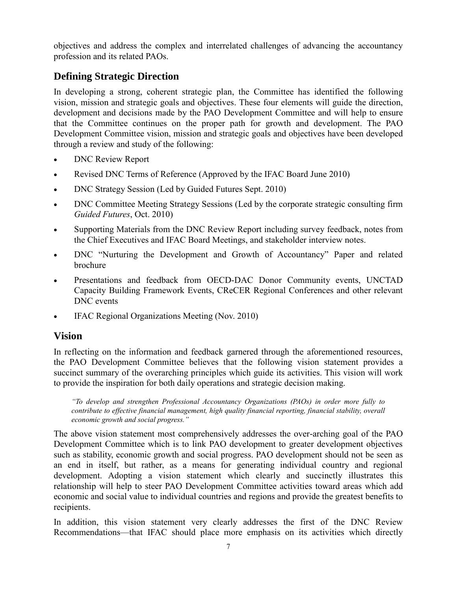objectives and address the complex and interrelated challenges of advancing the accountancy profession and its related PAOs.

# <span id="page-6-0"></span>**Defining Strategic Direction**

In developing a strong, coherent strategic plan, the Committee has identified the following vision, mission and strategic goals and objectives. These four elements will guide the direction, development and decisions made by the PAO Development Committee and will help to ensure that the Committee continues on the proper path for growth and development. The PAO Development Committee vision, mission and strategic goals and objectives have been developed through a review and study of the following:

- DNC Review Report
- Revised DNC Terms of Reference (Approved by the IFAC Board June 2010)
- DNC Strategy Session (Led by Guided Futures Sept. 2010)
- DNC Committee Meeting Strategy Sessions (Led by the corporate strategic consulting firm *Guided Futures*, Oct. 2010)
- Supporting Materials from the DNC Review Report including survey feedback, notes from the Chief Executives and IFAC Board Meetings, and stakeholder interview notes.
- DNC "Nurturing the Development and Growth of Accountancy" Paper and related brochure
- Presentations and feedback from OECD-DAC Donor Community events, UNCTAD Capacity Building Framework Events, CReCER Regional Conferences and other relevant DNC events
- <span id="page-6-1"></span>IFAC Regional Organizations Meeting (Nov. 2010)

## **Vision**

In reflecting on the information and feedback garnered through the aforementioned resources, the PAO Development Committee believes that the following vision statement provides a succinct summary of the overarching principles which guide its activities. This vision will work to provide the inspiration for both daily operations and strategic decision making.

*"To develop and strengthen Professional Accountancy Organizations (PAOs) in order more fully to contribute to effective financial management, high quality financial reporting, financial stability, overall economic growth and social progress."*

The above vision statement most comprehensively addresses the over-arching goal of the PAO Development Committee which is to link PAO development to greater development objectives such as stability, economic growth and social progress. PAO development should not be seen as an end in itself, but rather, as a means for generating individual country and regional development. Adopting a vision statement which clearly and succinctly illustrates this relationship will help to steer PAO Development Committee activities toward areas which add economic and social value to individual countries and regions and provide the greatest benefits to recipients.

In addition, this vision statement very clearly addresses the first of the DNC Review Recommendations—that IFAC should place more emphasis on its activities which directly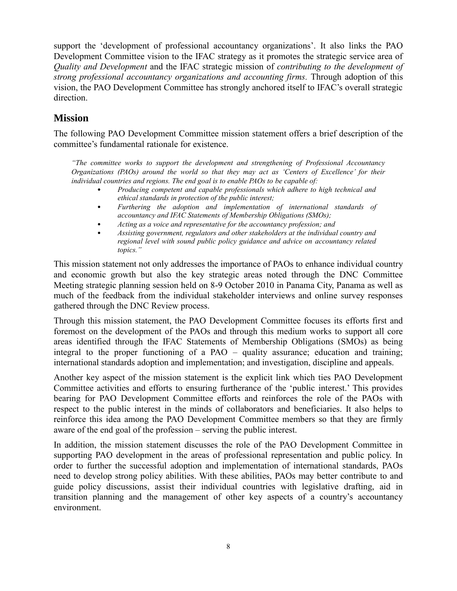support the 'development of professional accountancy organizations'. It also links the PAO Development Committee vision to the IFAC strategy as it promotes the strategic service area of *Quality and Development* and the IFAC strategic mission of *contributing to the development of strong professional accountancy organizations and accounting firms.* Through adoption of this vision, the PAO Development Committee has strongly anchored itself to IFAC's overall strategic direction.

# <span id="page-7-0"></span>**Mission**

The following PAO Development Committee mission statement offers a brief description of the committee's fundamental rationale for existence.

*"The committee works to support the development and strengthening of Professional Accountancy Organizations (PAOs) around the world so that they may act as 'Centers of Excellence' for their individual countries and regions. The end goal is to enable PAOs to be capable of:*

- *Producing competent and capable professionals which adhere to high technical and ethical standards in protection of the public interest;*
- *Furthering the adoption and implementation of international standards of accountancy and IFAC Statements of Membership Obligations (SMOs);*
- *Acting as a voice and representative for the accountancy profession; and*
- *Assisting government, regulators and other stakeholders at the individual country and regional level with sound public policy guidance and advice on accountancy related topics."*

This mission statement not only addresses the importance of PAOs to enhance individual country and economic growth but also the key strategic areas noted through the DNC Committee Meeting strategic planning session held on 8-9 October 2010 in Panama City, Panama as well as much of the feedback from the individual stakeholder interviews and online survey responses gathered through the DNC Review process.

Through this mission statement, the PAO Development Committee focuses its efforts first and foremost on the development of the PAOs and through this medium works to support all core areas identified through the IFAC Statements of Membership Obligations (SMOs) as being integral to the proper functioning of a PAO – quality assurance; education and training; international standards adoption and implementation; and investigation, discipline and appeals.

Another key aspect of the mission statement is the explicit link which ties PAO Development Committee activities and efforts to ensuring furtherance of the 'public interest.' This provides bearing for PAO Development Committee efforts and reinforces the role of the PAOs with respect to the public interest in the minds of collaborators and beneficiaries. It also helps to reinforce this idea among the PAO Development Committee members so that they are firmly aware of the end goal of the profession – serving the public interest.

In addition, the mission statement discusses the role of the PAO Development Committee in supporting PAO development in the areas of professional representation and public policy. In order to further the successful adoption and implementation of international standards, PAOs need to develop strong policy abilities. With these abilities, PAOs may better contribute to and guide policy discussions, assist their individual countries with legislative drafting, aid in transition planning and the management of other key aspects of a country's accountancy environment.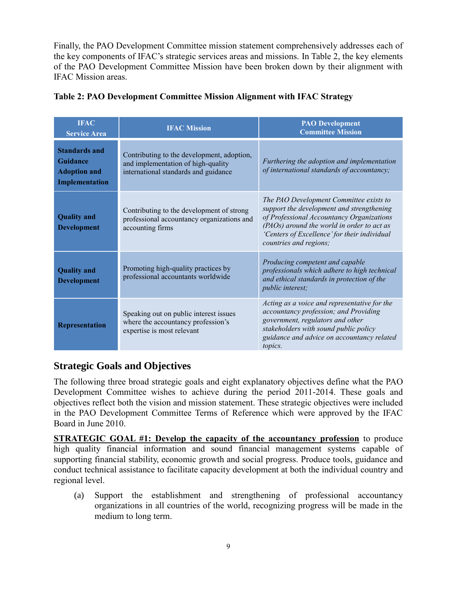Finally, the PAO Development Committee mission statement comprehensively addresses each of the key components of IFAC's strategic services areas and missions. In Table 2, the key elements of the PAO Development Committee Mission have been broken down by their alignment with IFAC Mission areas.

| <b>IFAC</b><br><b>Service Area</b>                                        | <b>IFAC Mission</b>                                                                                                      | <b>PAO Development</b><br><b>Committee Mission</b>                                                                                                                                                                                                        |
|---------------------------------------------------------------------------|--------------------------------------------------------------------------------------------------------------------------|-----------------------------------------------------------------------------------------------------------------------------------------------------------------------------------------------------------------------------------------------------------|
| <b>Standards and</b><br>Guidance<br><b>Adoption and</b><br>Implementation | Contributing to the development, adoption,<br>and implementation of high-quality<br>international standards and guidance | Furthering the adoption and implementation<br>of international standards of accountancy;                                                                                                                                                                  |
| <b>Quality and</b><br><b>Development</b>                                  | Contributing to the development of strong<br>professional accountancy organizations and<br>accounting firms              | The PAO Development Committee exists to<br>support the development and strengthening<br>of Professional Accountancy Organizations<br>(PAOs) around the world in order to act as<br>'Centers of Excellence' for their individual<br>countries and regions; |
| <b>Quality and</b><br><b>Development</b>                                  | Promoting high-quality practices by<br>professional accountants worldwide                                                | Producing competent and capable<br>professionals which adhere to high technical<br>and ethical standards in protection of the<br><i>public interest;</i>                                                                                                  |
| Representation                                                            | Speaking out on public interest issues<br>where the accountancy profession's<br>expertise is most relevant               | Acting as a voice and representative for the<br>accountancy profession; and Providing<br>government, regulators and other<br>stakeholders with sound public policy<br>guidance and advice on accountancy related<br>topics.                               |

#### <span id="page-8-0"></span>**Table 2: PAO Development Committee Mission Alignment with IFAC Strategy**

## <span id="page-8-1"></span>**Strategic Goals and Objectives**

The following three broad strategic goals and eight explanatory objectives define what the PAO Development Committee wishes to achieve during the period 2011-2014. These goals and objectives reflect both the vision and mission statement. These strategic objectives were included in the PAO Development Committee Terms of Reference which were approved by the IFAC Board in June 2010.

**STRATEGIC GOAL #1: Develop the capacity of the accountancy profession** to produce high quality financial information and sound financial management systems capable of supporting financial stability, economic growth and social progress. Produce tools, guidance and conduct technical assistance to facilitate capacity development at both the individual country and regional level.

(a) Support the establishment and strengthening of professional accountancy organizations in all countries of the world, recognizing progress will be made in the medium to long term.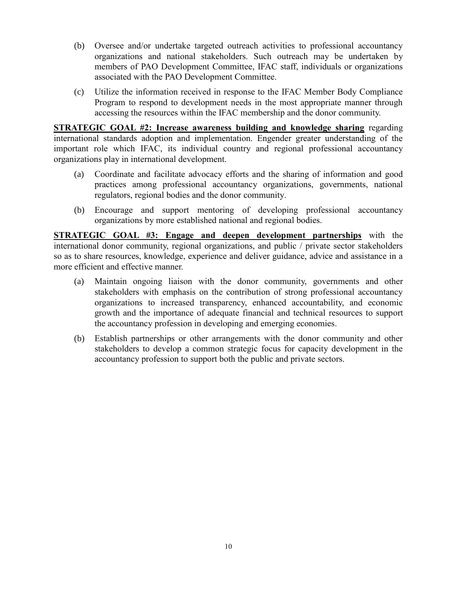- (b) Oversee and/or undertake targeted outreach activities to professional accountancy organizations and national stakeholders. Such outreach may be undertaken by members of PAO Development Committee, IFAC staff, individuals or organizations associated with the PAO Development Committee.
- (c) Utilize the information received in response to the IFAC Member Body Compliance Program to respond to development needs in the most appropriate manner through accessing the resources within the IFAC membership and the donor community.

**STRATEGIC GOAL #2: Increase awareness building and knowledge sharing** regarding international standards adoption and implementation. Engender greater understanding of the important role which IFAC, its individual country and regional professional accountancy organizations play in international development.

- (a) Coordinate and facilitate advocacy efforts and the sharing of information and good practices among professional accountancy organizations, governments, national regulators, regional bodies and the donor community.
- (b) Encourage and support mentoring of developing professional accountancy organizations by more established national and regional bodies.

**STRATEGIC GOAL #3: Engage and deepen development partnerships** with the international donor community, regional organizations, and public / private sector stakeholders so as to share resources, knowledge, experience and deliver guidance, advice and assistance in a more efficient and effective manner.

- (a) Maintain ongoing liaison with the donor community, governments and other stakeholders with emphasis on the contribution of strong professional accountancy organizations to increased transparency, enhanced accountability, and economic growth and the importance of adequate financial and technical resources to support the accountancy profession in developing and emerging economies.
- (b) Establish partnerships or other arrangements with the donor community and other stakeholders to develop a common strategic focus for capacity development in the accountancy profession to support both the public and private sectors.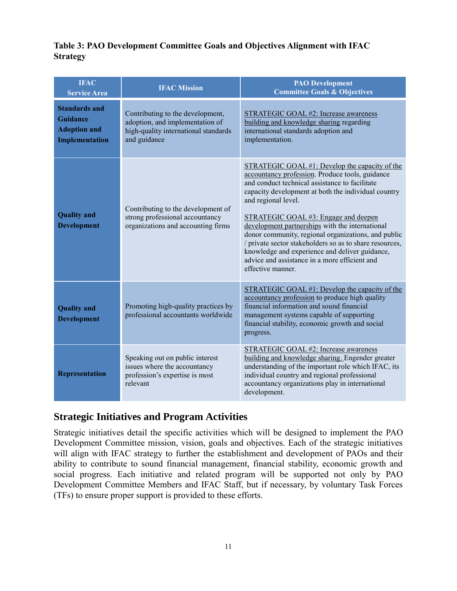## <span id="page-10-0"></span>**Table 3: PAO Development Committee Goals and Objectives Alignment with IFAC Strategy**

| <b>IFAC</b><br><b>Service Area</b>                                               | <b>IFAC Mission</b>                                                                                                         | <b>PAO Development</b><br><b>Committee Goals &amp; Objectives</b>                                                                                                                                                                                                                                                                                                                                                                                                                                                                                                      |
|----------------------------------------------------------------------------------|-----------------------------------------------------------------------------------------------------------------------------|------------------------------------------------------------------------------------------------------------------------------------------------------------------------------------------------------------------------------------------------------------------------------------------------------------------------------------------------------------------------------------------------------------------------------------------------------------------------------------------------------------------------------------------------------------------------|
| <b>Standards and</b><br><b>Guidance</b><br><b>Adoption and</b><br>Implementation | Contributing to the development,<br>adoption, and implementation of<br>high-quality international standards<br>and guidance | STRATEGIC GOAL #2: Increase awareness<br>building and knowledge sharing regarding<br>international standards adoption and<br>implementation.                                                                                                                                                                                                                                                                                                                                                                                                                           |
| <b>Quality and</b><br><b>Development</b>                                         | Contributing to the development of<br>strong professional accountancy<br>organizations and accounting firms                 | STRATEGIC GOAL #1: Develop the capacity of the<br>accountancy profession. Produce tools, guidance<br>and conduct technical assistance to facilitate<br>capacity development at both the individual country<br>and regional level.<br>STRATEGIC GOAL #3: Engage and deepen<br>development partnerships with the international<br>donor community, regional organizations, and public<br>/ private sector stakeholders so as to share resources,<br>knowledge and experience and deliver guidance,<br>advice and assistance in a more efficient and<br>effective manner. |
| <b>Quality and</b><br><b>Development</b>                                         | Promoting high-quality practices by<br>professional accountants worldwide                                                   | STRATEGIC GOAL #1: Develop the capacity of the<br>accountancy profession to produce high quality<br>financial information and sound financial<br>management systems capable of supporting<br>financial stability, economic growth and social<br>progress.                                                                                                                                                                                                                                                                                                              |
| <b>Representation</b>                                                            | Speaking out on public interest<br>issues where the accountancy<br>profession's expertise is most<br>relevant               | STRATEGIC GOAL #2: Increase awareness<br>building and knowledge sharing. Engender greater<br>understanding of the important role which IFAC, its<br>individual country and regional professional<br>accountancy organizations play in international<br>development.                                                                                                                                                                                                                                                                                                    |

# <span id="page-10-1"></span>**Strategic Initiatives and Program Activities**

Strategic initiatives detail the specific activities which will be designed to implement the PAO Development Committee mission, vision, goals and objectives. Each of the strategic initiatives will align with IFAC strategy to further the establishment and development of PAOs and their ability to contribute to sound financial management, financial stability, economic growth and social progress. Each initiative and related program will be supported not only by PAO Development Committee Members and IFAC Staff, but if necessary, by voluntary Task Forces (TFs) to ensure proper support is provided to these efforts.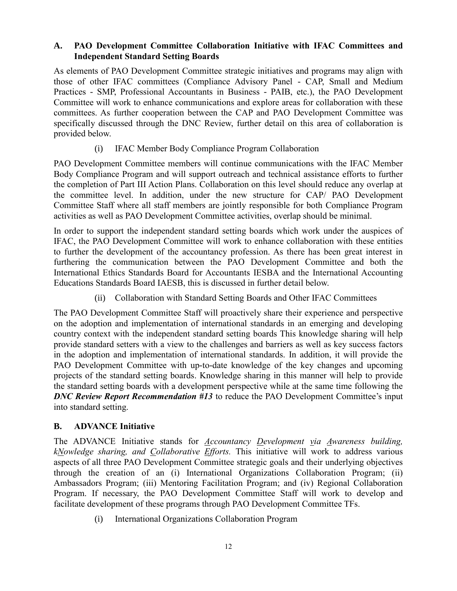### <span id="page-11-0"></span>**A. PAO Development Committee Collaboration Initiative with IFAC Committees and Independent Standard Setting Boards**

As elements of PAO Development Committee strategic initiatives and programs may align with those of other IFAC committees (Compliance Advisory Panel - CAP, Small and Medium Practices - SMP, Professional Accountants in Business - PAIB, etc.), the PAO Development Committee will work to enhance communications and explore areas for collaboration with these committees. As further cooperation between the CAP and PAO Development Committee was specifically discussed through the DNC Review, further detail on this area of collaboration is provided below.

## (i) IFAC Member Body Compliance Program Collaboration

PAO Development Committee members will continue communications with the IFAC Member Body Compliance Program and will support outreach and technical assistance efforts to further the completion of Part III Action Plans. Collaboration on this level should reduce any overlap at the committee level. In addition, under the new structure for CAP/ PAO Development Committee Staff where all staff members are jointly responsible for both Compliance Program activities as well as PAO Development Committee activities, overlap should be minimal.

In order to support the independent standard setting boards which work under the auspices of IFAC, the PAO Development Committee will work to enhance collaboration with these entities to further the development of the accountancy profession. As there has been great interest in furthering the communication between the PAO Development Committee and both the International Ethics Standards Board for Accountants IESBA and the International Accounting Educations Standards Board IAESB, this is discussed in further detail below.

(ii) Collaboration with Standard Setting Boards and Other IFAC Committees

The PAO Development Committee Staff will proactively share their experience and perspective on the adoption and implementation of international standards in an emerging and developing country context with the independent standard setting boards This knowledge sharing will help provide standard setters with a view to the challenges and barriers as well as key success factors in the adoption and implementation of international standards. In addition, it will provide the PAO Development Committee with up-to-date knowledge of the key changes and upcoming projects of the standard setting boards. Knowledge sharing in this manner will help to provide the standard setting boards with a development perspective while at the same time following the *DNC Review Report Recommendation #13* to reduce the PAO Development Committee's input into standard setting.

### <span id="page-11-1"></span>**B. ADVANCE Initiative**

The ADVANCE Initiative stands for *Accountancy Development via Awareness building, kNowledge sharing, and Collaborative Efforts.* This initiative will work to address various aspects of all three PAO Development Committee strategic goals and their underlying objectives through the creation of an (i) International Organizations Collaboration Program; (ii) Ambassadors Program; (iii) Mentoring Facilitation Program; and (iv) Regional Collaboration Program. If necessary, the PAO Development Committee Staff will work to develop and facilitate development of these programs through PAO Development Committee TFs.

(i) International Organizations Collaboration Program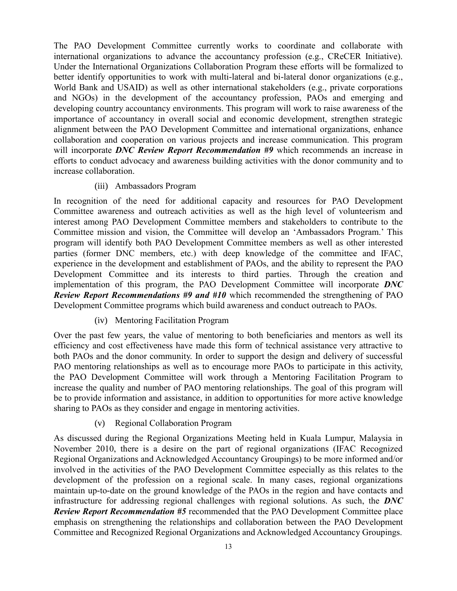The PAO Development Committee currently works to coordinate and collaborate with international organizations to advance the accountancy profession (e.g., CReCER Initiative). Under the International Organizations Collaboration Program these efforts will be formalized to better identify opportunities to work with multi-lateral and bi-lateral donor organizations (e.g., World Bank and USAID) as well as other international stakeholders (e.g., private corporations and NGOs) in the development of the accountancy profession, PAOs and emerging and developing country accountancy environments. This program will work to raise awareness of the importance of accountancy in overall social and economic development, strengthen strategic alignment between the PAO Development Committee and international organizations, enhance collaboration and cooperation on various projects and increase communication. This program will incorporate *DNC Review Report Recommendation #9* which recommends an increase in efforts to conduct advocacy and awareness building activities with the donor community and to increase collaboration.

#### (iii) Ambassadors Program

In recognition of the need for additional capacity and resources for PAO Development Committee awareness and outreach activities as well as the high level of volunteerism and interest among PAO Development Committee members and stakeholders to contribute to the Committee mission and vision, the Committee will develop an 'Ambassadors Program.' This program will identify both PAO Development Committee members as well as other interested parties (former DNC members, etc.) with deep knowledge of the committee and IFAC, experience in the development and establishment of PAOs, and the ability to represent the PAO Development Committee and its interests to third parties. Through the creation and implementation of this program, the PAO Development Committee will incorporate *DNC Review Report Recommendations #9 and #10* which recommended the strengthening of PAO Development Committee programs which build awareness and conduct outreach to PAOs.

### (iv) Mentoring Facilitation Program

Over the past few years, the value of mentoring to both beneficiaries and mentors as well its efficiency and cost effectiveness have made this form of technical assistance very attractive to both PAOs and the donor community. In order to support the design and delivery of successful PAO mentoring relationships as well as to encourage more PAOs to participate in this activity, the PAO Development Committee will work through a Mentoring Facilitation Program to increase the quality and number of PAO mentoring relationships. The goal of this program will be to provide information and assistance, in addition to opportunities for more active knowledge sharing to PAOs as they consider and engage in mentoring activities.

### (v) Regional Collaboration Program

As discussed during the Regional Organizations Meeting held in Kuala Lumpur, Malaysia in November 2010, there is a desire on the part of regional organizations (IFAC Recognized Regional Organizations and Acknowledged Accountancy Groupings) to be more informed and/or involved in the activities of the PAO Development Committee especially as this relates to the development of the profession on a regional scale. In many cases, regional organizations maintain up-to-date on the ground knowledge of the PAOs in the region and have contacts and infrastructure for addressing regional challenges with regional solutions. As such, the *DNC Review Report Recommendation #5* recommended that the PAO Development Committee place emphasis on strengthening the relationships and collaboration between the PAO Development Committee and Recognized Regional Organizations and Acknowledged Accountancy Groupings.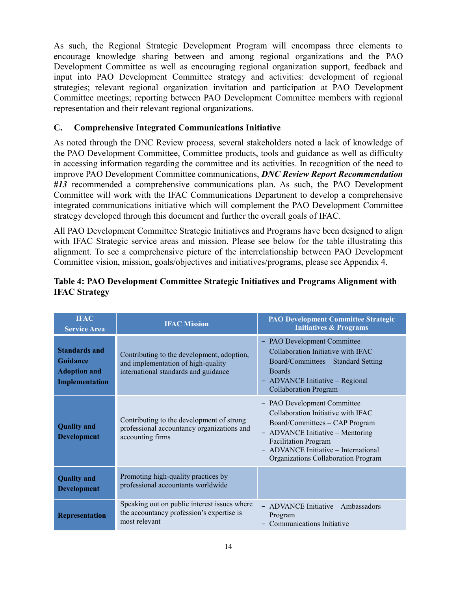As such, the Regional Strategic Development Program will encompass three elements to encourage knowledge sharing between and among regional organizations and the PAO Development Committee as well as encouraging regional organization support, feedback and input into PAO Development Committee strategy and activities: development of regional strategies; relevant regional organization invitation and participation at PAO Development Committee meetings; reporting between PAO Development Committee members with regional representation and their relevant regional organizations.

### <span id="page-13-0"></span>**C. Comprehensive Integrated Communications Initiative**

As noted through the DNC Review process, several stakeholders noted a lack of knowledge of the PAO Development Committee, Committee products, tools and guidance as well as difficulty in accessing information regarding the committee and its activities. In recognition of the need to improve PAO Development Committee communications, *DNC Review Report Recommendation #13* recommended a comprehensive communications plan. As such, the PAO Development Committee will work with the IFAC Communications Department to develop a comprehensive integrated communications initiative which will complement the PAO Development Committee strategy developed through this document and further the overall goals of IFAC.

All PAO Development Committee Strategic Initiatives and Programs have been designed to align with IFAC Strategic service areas and mission. Please see below for the table illustrating this alignment. To see a comprehensive picture of the interrelationship between PAO Development Committee vision, mission, goals/objectives and initiatives/programs, please see Appendix 4.

| <b>IFAC</b><br><b>Service Area</b>                                        | <b>IFAC Mission</b>                                                                                                      | <b>PAO Development Committee Strategic</b><br><b>Initiatives &amp; Programs</b>                                                                                                                                                                       |
|---------------------------------------------------------------------------|--------------------------------------------------------------------------------------------------------------------------|-------------------------------------------------------------------------------------------------------------------------------------------------------------------------------------------------------------------------------------------------------|
| <b>Standards and</b><br>Guidance<br><b>Adoption and</b><br>Implementation | Contributing to the development, adoption,<br>and implementation of high-quality<br>international standards and guidance | - PAO Development Committee<br>Collaboration Initiative with IFAC<br>Board/Committees – Standard Setting<br><b>Boards</b><br>- ADVANCE Initiative – Regional<br><b>Collaboration Program</b>                                                          |
| <b>Quality and</b><br><b>Development</b>                                  | Contributing to the development of strong<br>professional accountancy organizations and<br>accounting firms              | - PAO Development Committee<br>Collaboration Initiative with IFAC<br>Board/Committees - CAP Program<br>- ADVANCE Initiative – Mentoring<br><b>Facilitation Program</b><br>- ADVANCE Initiative - International<br>Organizations Collaboration Program |
| <b>Quality and</b><br><b>Development</b>                                  | Promoting high-quality practices by<br>professional accountants worldwide                                                |                                                                                                                                                                                                                                                       |
| <b>Representation</b>                                                     | Speaking out on public interest issues where<br>the accountancy profession's expertise is<br>most relevant               | - ADVANCE Initiative – Ambassadors<br>Program<br>Communications Initiative                                                                                                                                                                            |

### <span id="page-13-1"></span>**Table 4: PAO Development Committee Strategic Initiatives and Programs Alignment with IFAC Strategy**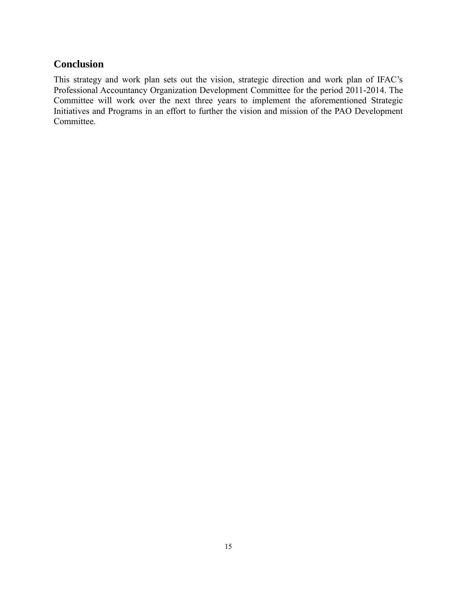## <span id="page-14-0"></span>**Conclusion**

This strategy and work plan sets out the vision, strategic direction and work plan of IFAC's Professional Accountancy Organization Development Committee for the period 2011-2014. The Committee will work over the next three years to implement the aforementioned Strategic Initiatives and Programs in an effort to further the vision and mission of the PAO Development Committee.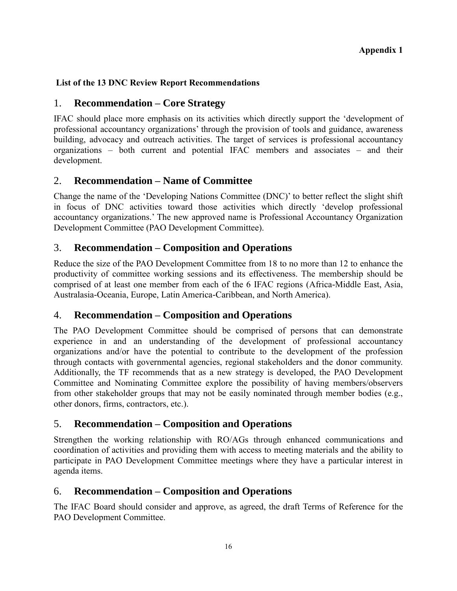## <span id="page-15-0"></span>**List of the 13 DNC Review Report Recommendations**

## 1. **Recommendation – Core Strategy**

IFAC should place more emphasis on its activities which directly support the 'development of professional accountancy organizations' through the provision of tools and guidance, awareness building, advocacy and outreach activities. The target of services is professional accountancy organizations – both current and potential IFAC members and associates – and their development.

## 2. **Recommendation – Name of Committee**

Change the name of the 'Developing Nations Committee (DNC)' to better reflect the slight shift in focus of DNC activities toward those activities which directly 'develop professional accountancy organizations.' The new approved name is Professional Accountancy Organization Development Committee (PAO Development Committee).

## 3. **Recommendation – Composition and Operations**

Reduce the size of the PAO Development Committee from 18 to no more than 12 to enhance the productivity of committee working sessions and its effectiveness. The membership should be comprised of at least one member from each of the 6 IFAC regions (Africa-Middle East, Asia, Australasia-Oceania, Europe, Latin America-Caribbean, and North America).

## 4. **Recommendation – Composition and Operations**

The PAO Development Committee should be comprised of persons that can demonstrate experience in and an understanding of the development of professional accountancy organizations and/or have the potential to contribute to the development of the profession through contacts with governmental agencies, regional stakeholders and the donor community. Additionally, the TF recommends that as a new strategy is developed, the PAO Development Committee and Nominating Committee explore the possibility of having members/observers from other stakeholder groups that may not be easily nominated through member bodies (e.g., other donors, firms, contractors, etc.).

## 5. **Recommendation – Composition and Operations**

Strengthen the working relationship with RO/AGs through enhanced communications and coordination of activities and providing them with access to meeting materials and the ability to participate in PAO Development Committee meetings where they have a particular interest in agenda items.

## 6. **Recommendation – Composition and Operations**

The IFAC Board should consider and approve, as agreed, the draft Terms of Reference for the PAO Development Committee.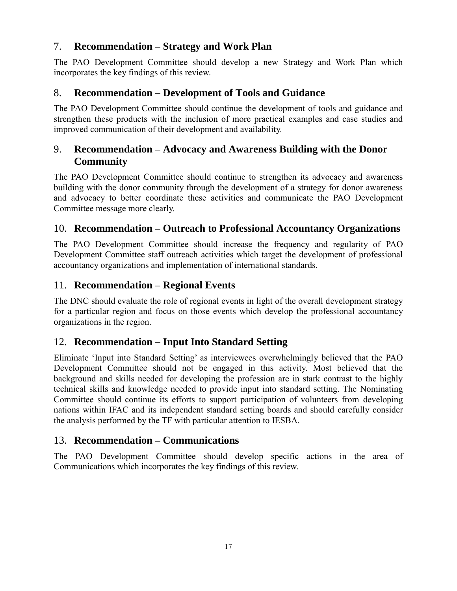# 7. **Recommendation – Strategy and Work Plan**

The PAO Development Committee should develop a new Strategy and Work Plan which incorporates the key findings of this review.

## 8. **Recommendation – Development of Tools and Guidance**

The PAO Development Committee should continue the development of tools and guidance and strengthen these products with the inclusion of more practical examples and case studies and improved communication of their development and availability.

# 9. **Recommendation – Advocacy and Awareness Building with the Donor Community**

The PAO Development Committee should continue to strengthen its advocacy and awareness building with the donor community through the development of a strategy for donor awareness and advocacy to better coordinate these activities and communicate the PAO Development Committee message more clearly.

## 10. **Recommendation – Outreach to Professional Accountancy Organizations**

The PAO Development Committee should increase the frequency and regularity of PAO Development Committee staff outreach activities which target the development of professional accountancy organizations and implementation of international standards.

## 11. **Recommendation – Regional Events**

The DNC should evaluate the role of regional events in light of the overall development strategy for a particular region and focus on those events which develop the professional accountancy organizations in the region.

# 12. **Recommendation – Input Into Standard Setting**

Eliminate 'Input into Standard Setting' as interviewees overwhelmingly believed that the PAO Development Committee should not be engaged in this activity. Most believed that the background and skills needed for developing the profession are in stark contrast to the highly technical skills and knowledge needed to provide input into standard setting. The Nominating Committee should continue its efforts to support participation of volunteers from developing nations within IFAC and its independent standard setting boards and should carefully consider the analysis performed by the TF with particular attention to IESBA.

# 13. **Recommendation – Communications**

The PAO Development Committee should develop specific actions in the area of Communications which incorporates the key findings of this review.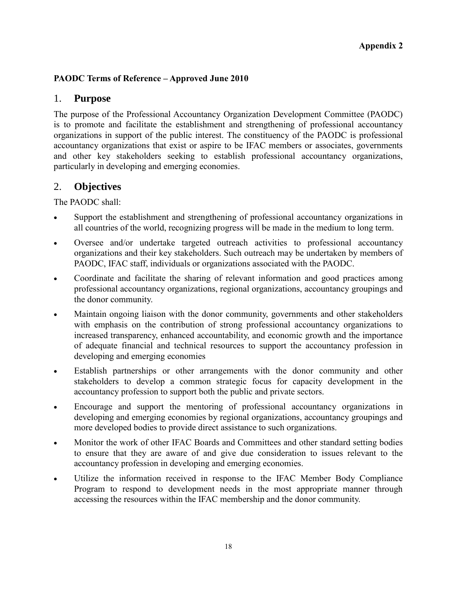## <span id="page-17-0"></span>**PAODC Terms of Reference – Approved June 2010**

## 1. **Purpose**

The purpose of the Professional Accountancy Organization Development Committee (PAODC) is to promote and facilitate the establishment and strengthening of professional accountancy organizations in support of the public interest. The constituency of the PAODC is professional accountancy organizations that exist or aspire to be IFAC members or associates, governments and other key stakeholders seeking to establish professional accountancy organizations, particularly in developing and emerging economies.

## 2. **Objectives**

The PAODC shall:

- Support the establishment and strengthening of professional accountancy organizations in all countries of the world, recognizing progress will be made in the medium to long term.
- Oversee and/or undertake targeted outreach activities to professional accountancy organizations and their key stakeholders. Such outreach may be undertaken by members of PAODC, IFAC staff, individuals or organizations associated with the PAODC.
- Coordinate and facilitate the sharing of relevant information and good practices among professional accountancy organizations, regional organizations, accountancy groupings and the donor community.
- Maintain ongoing liaison with the donor community, governments and other stakeholders with emphasis on the contribution of strong professional accountancy organizations to increased transparency, enhanced accountability, and economic growth and the importance of adequate financial and technical resources to support the accountancy profession in developing and emerging economies
- Establish partnerships or other arrangements with the donor community and other stakeholders to develop a common strategic focus for capacity development in the accountancy profession to support both the public and private sectors.
- Encourage and support the mentoring of professional accountancy organizations in developing and emerging economies by regional organizations, accountancy groupings and more developed bodies to provide direct assistance to such organizations.
- Monitor the work of other IFAC Boards and Committees and other standard setting bodies to ensure that they are aware of and give due consideration to issues relevant to the accountancy profession in developing and emerging economies.
- Utilize the information received in response to the IFAC Member Body Compliance Program to respond to development needs in the most appropriate manner through accessing the resources within the IFAC membership and the donor community.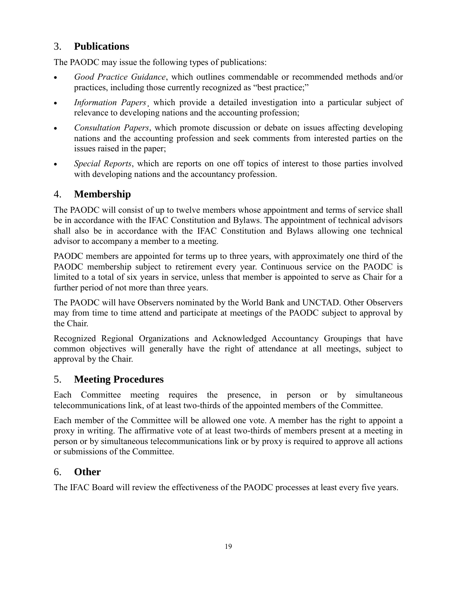# 3. **Publications**

The PAODC may issue the following types of publications:

- *Good Practice Guidance*, which outlines commendable or recommended methods and/or practices, including those currently recognized as "best practice;"
- *Information Papers*, which provide a detailed investigation into a particular subject of relevance to developing nations and the accounting profession;
- *Consultation Papers*, which promote discussion or debate on issues affecting developing nations and the accounting profession and seek comments from interested parties on the issues raised in the paper;
- *Special Reports*, which are reports on one off topics of interest to those parties involved with developing nations and the accountancy profession.

# 4. **Membership**

The PAODC will consist of up to twelve members whose appointment and terms of service shall be in accordance with the IFAC Constitution and Bylaws. The appointment of technical advisors shall also be in accordance with the IFAC Constitution and Bylaws allowing one technical advisor to accompany a member to a meeting.

PAODC members are appointed for terms up to three years, with approximately one third of the PAODC membership subject to retirement every year. Continuous service on the PAODC is limited to a total of six years in service, unless that member is appointed to serve as Chair for a further period of not more than three years.

The PAODC will have Observers nominated by the World Bank and UNCTAD. Other Observers may from time to time attend and participate at meetings of the PAODC subject to approval by the Chair.

Recognized Regional Organizations and Acknowledged Accountancy Groupings that have common objectives will generally have the right of attendance at all meetings, subject to approval by the Chair.

# 5. **Meeting Procedures**

Each Committee meeting requires the presence, in person or by simultaneous telecommunications link, of at least two-thirds of the appointed members of the Committee.

Each member of the Committee will be allowed one vote. A member has the right to appoint a proxy in writing. The affirmative vote of at least two-thirds of members present at a meeting in person or by simultaneous telecommunications link or by proxy is required to approve all actions or submissions of the Committee.

# 6. **Other**

The IFAC Board will review the effectiveness of the PAODC processes at least every five years.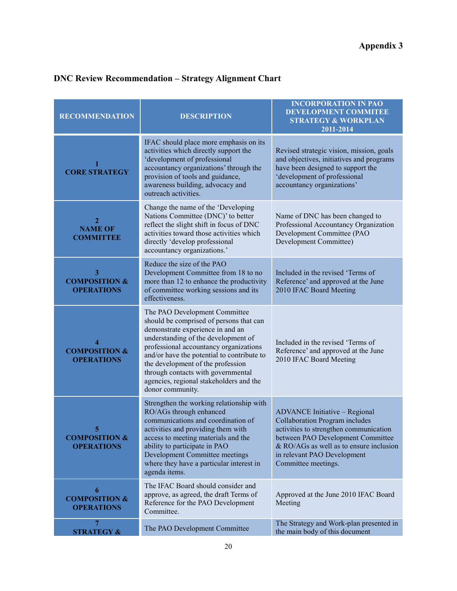# <span id="page-19-0"></span>**DNC Review Recommendation – Strategy Alignment Chart**

| <b>RECOMMENDATION</b>                              | <b>DESCRIPTION</b>                                                                                                                                                                                                                                                                                                                                                                    | <b>INCORPORATION IN PAO</b><br><b>DEVELOPMENT COMMITEE</b><br><b>STRATEGY &amp; WORKPLAN</b><br>2011-2014                                                                                                                                                       |
|----------------------------------------------------|---------------------------------------------------------------------------------------------------------------------------------------------------------------------------------------------------------------------------------------------------------------------------------------------------------------------------------------------------------------------------------------|-----------------------------------------------------------------------------------------------------------------------------------------------------------------------------------------------------------------------------------------------------------------|
| 1<br><b>CORE STRATEGY</b>                          | IFAC should place more emphasis on its<br>activities which directly support the<br>'development of professional<br>accountancy organizations' through the<br>provision of tools and guidance,<br>awareness building, advocacy and<br>outreach activities.                                                                                                                             | Revised strategic vision, mission, goals<br>and objectives, initiatives and programs<br>have been designed to support the<br>'development of professional<br>accountancy organizations'                                                                         |
| $\mathbf{2}$<br><b>NAME OF</b><br><b>COMMITTEE</b> | Change the name of the 'Developing<br>Nations Committee (DNC)' to better<br>reflect the slight shift in focus of DNC<br>activities toward those activities which<br>directly 'develop professional<br>accountancy organizations.'                                                                                                                                                     | Name of DNC has been changed to<br>Professional Accountancy Organization<br>Development Committee (PAO<br>Development Committee)                                                                                                                                |
| 3<br><b>COMPOSITION &amp;</b><br><b>OPERATIONS</b> | Reduce the size of the PAO<br>Development Committee from 18 to no<br>more than 12 to enhance the productivity<br>of committee working sessions and its<br>effectiveness.                                                                                                                                                                                                              | Included in the revised 'Terms of<br>Reference' and approved at the June<br>2010 IFAC Board Meeting                                                                                                                                                             |
| 4<br><b>COMPOSITION &amp;</b><br><b>OPERATIONS</b> | The PAO Development Committee<br>should be comprised of persons that can<br>demonstrate experience in and an<br>understanding of the development of<br>professional accountancy organizations<br>and/or have the potential to contribute to<br>the development of the profession<br>through contacts with governmental<br>agencies, regional stakeholders and the<br>donor community. | Included in the revised 'Terms of<br>Reference' and approved at the June<br>2010 IFAC Board Meeting                                                                                                                                                             |
| 5<br><b>COMPOSITION &amp;</b><br><b>OPERATIONS</b> | Strengthen the working relationship with<br>RO/AGs through enhanced<br>communications and coordination of<br>activities and providing them with<br>access to meeting materials and the<br>ability to participate in PAO<br>Development Committee meetings<br>where they have a particular interest in<br>agenda items.                                                                | <b>ADVANCE Initiative - Regional</b><br><b>Collaboration Program includes</b><br>activities to strengthen communication<br>between PAO Development Committee<br>$&$ RO/AGs as well as to ensure inclusion<br>in relevant PAO Development<br>Committee meetings. |
| 6<br><b>COMPOSITION &amp;</b><br><b>OPERATIONS</b> | The IFAC Board should consider and<br>approve, as agreed, the draft Terms of<br>Reference for the PAO Development<br>Committee.                                                                                                                                                                                                                                                       | Approved at the June 2010 IFAC Board<br>Meeting                                                                                                                                                                                                                 |
| 7<br><b>STRATEGY &amp;</b>                         | The PAO Development Committee                                                                                                                                                                                                                                                                                                                                                         | The Strategy and Work-plan presented in<br>the main body of this document                                                                                                                                                                                       |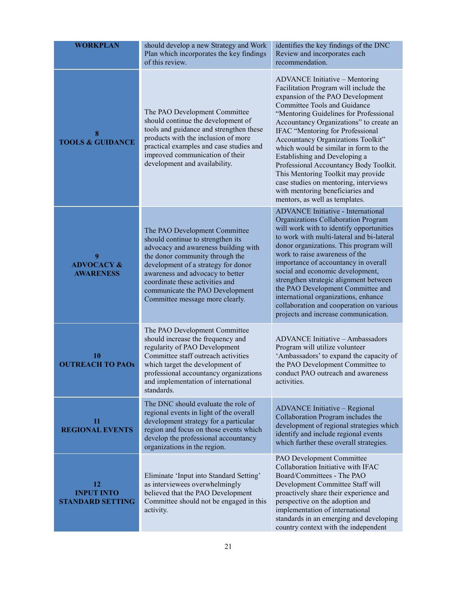| <b>WORKPLAN</b>                                    | should develop a new Strategy and Work<br>Plan which incorporates the key findings<br>of this review.                                                                                                                                                                                                                             | identifies the key findings of the DNC<br>Review and incorporates each<br>recommendation.                                                                                                                                                                                                                                                                                                                                                                                                                                                                                           |
|----------------------------------------------------|-----------------------------------------------------------------------------------------------------------------------------------------------------------------------------------------------------------------------------------------------------------------------------------------------------------------------------------|-------------------------------------------------------------------------------------------------------------------------------------------------------------------------------------------------------------------------------------------------------------------------------------------------------------------------------------------------------------------------------------------------------------------------------------------------------------------------------------------------------------------------------------------------------------------------------------|
| 8<br><b>TOOLS &amp; GUIDANCE</b>                   | The PAO Development Committee<br>should continue the development of<br>tools and guidance and strengthen these<br>products with the inclusion of more<br>practical examples and case studies and<br>improved communication of their<br>development and availability.                                                              | ADVANCE Initiative - Mentoring<br>Facilitation Program will include the<br>expansion of the PAO Development<br>Committee Tools and Guidance<br>"Mentoring Guidelines for Professional<br>Accountancy Organizations" to create an<br>IFAC "Mentoring for Professional<br>Accountancy Organizations Toolkit"<br>which would be similar in form to the<br>Establishing and Developing a<br>Professional Accountancy Body Toolkit.<br>This Mentoring Toolkit may provide<br>case studies on mentoring, interviews<br>with mentoring beneficiaries and<br>mentors, as well as templates. |
| 9<br><b>ADVOCACY &amp;</b><br><b>AWARENESS</b>     | The PAO Development Committee<br>should continue to strengthen its<br>advocacy and awareness building with<br>the donor community through the<br>development of a strategy for donor<br>awareness and advocacy to better<br>coordinate these activities and<br>communicate the PAO Development<br>Committee message more clearly. | <b>ADVANCE Initiative - International</b><br>Organizations Collaboration Program<br>will work with to identify opportunities<br>to work with multi-lateral and bi-lateral<br>donor organizations. This program will<br>work to raise awareness of the<br>importance of accountancy in overall<br>social and economic development,<br>strengthen strategic alignment between<br>the PAO Development Committee and<br>international organizations, enhance<br>collaboration and cooperation on various<br>projects and increase communication.                                        |
| 10<br><b>OUTREACH TO PAOS</b>                      | The PAO Development Committee<br>should increase the frequency and<br>regularity of PAO Development<br>Committee staff outreach activities<br>which target the development of<br>professional accountancy organizations<br>and implementation of international<br>standards.                                                      | ADVANCE Initiative - Ambassadors<br>Program will utilize volunteer<br>'Ambassadors' to expand the capacity of<br>the PAO Development Committee to<br>conduct PAO outreach and awareness<br>activities.                                                                                                                                                                                                                                                                                                                                                                              |
| 11<br><b>REGIONAL EVENTS</b>                       | The DNC should evaluate the role of<br>regional events in light of the overall<br>development strategy for a particular<br>region and focus on those events which<br>develop the professional accountancy<br>organizations in the region.                                                                                         | <b>ADVANCE Initiative - Regional</b><br>Collaboration Program includes the<br>development of regional strategies which<br>identify and include regional events<br>which further these overall strategies.                                                                                                                                                                                                                                                                                                                                                                           |
| 12<br><b>INPUT INTO</b><br><b>STANDARD SETTING</b> | Eliminate 'Input into Standard Setting'<br>as interviewees overwhelmingly<br>believed that the PAO Development<br>Committee should not be engaged in this<br>activity.                                                                                                                                                            | PAO Development Committee<br>Collaboration Initiative with IFAC<br>Board/Committees - The PAO<br>Development Committee Staff will<br>proactively share their experience and<br>perspective on the adoption and<br>implementation of international<br>standards in an emerging and developing<br>country context with the independent                                                                                                                                                                                                                                                |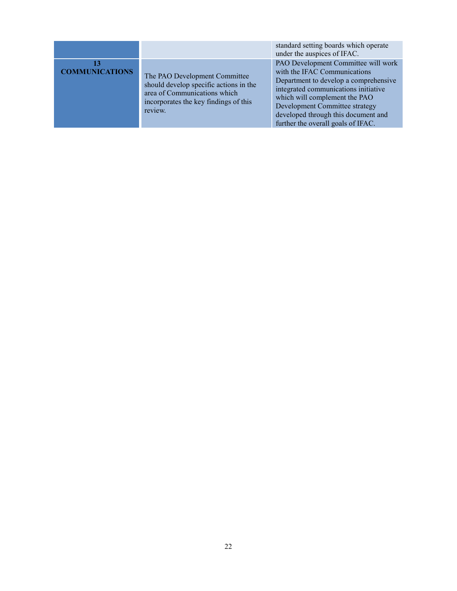|                       |                                                                                                                                                             | standard setting boards which operate<br>under the auspices of IFAC.                                                                                                                                                                                                                                 |
|-----------------------|-------------------------------------------------------------------------------------------------------------------------------------------------------------|------------------------------------------------------------------------------------------------------------------------------------------------------------------------------------------------------------------------------------------------------------------------------------------------------|
| <b>COMMUNICATIONS</b> | The PAO Development Committee<br>should develop specific actions in the<br>area of Communications which<br>incorporates the key findings of this<br>review. | PAO Development Committee will work<br>with the IFAC Communications<br>Department to develop a comprehensive<br>integrated communications initiative<br>which will complement the PAO<br>Development Committee strategy<br>developed through this document and<br>further the overall goals of IFAC. |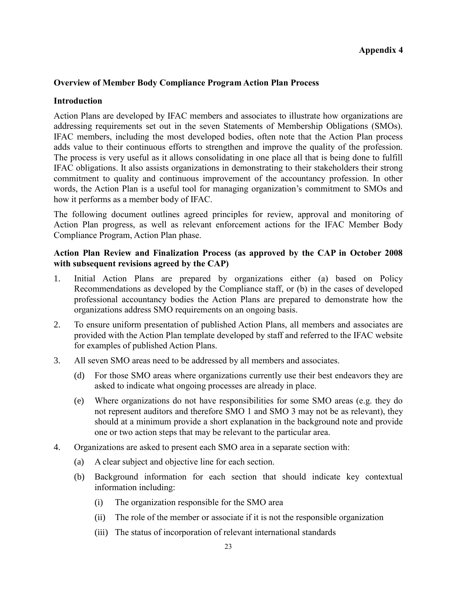#### **Appendix 4**

#### <span id="page-22-0"></span>**Overview of Member Body Compliance Program Action Plan Process**

#### **Introduction**

Action Plans are developed by IFAC members and associates to illustrate how organizations are addressing requirements set out in the seven Statements of Membership Obligations (SMOs). IFAC members, including the most developed bodies, often note that the Action Plan process adds value to their continuous efforts to strengthen and improve the quality of the profession. The process is very useful as it allows consolidating in one place all that is being done to fulfill IFAC obligations. It also assists organizations in demonstrating to their stakeholders their strong commitment to quality and continuous improvement of the accountancy profession. In other words, the Action Plan is a useful tool for managing organization's commitment to SMOs and how it performs as a member body of IFAC.

The following document outlines agreed principles for review, approval and monitoring of Action Plan progress, as well as relevant enforcement actions for the IFAC Member Body Compliance Program, Action Plan phase.

#### **Action Plan Review and Finalization Process (as approved by the CAP in October 2008 with subsequent revisions agreed by the CAP)**

- 1. Initial Action Plans are prepared by organizations either (a) based on Policy Recommendations as developed by the Compliance staff, or (b) in the cases of developed professional accountancy bodies the Action Plans are prepared to demonstrate how the organizations address SMO requirements on an ongoing basis.
- 2. To ensure uniform presentation of published Action Plans, all members and associates are provided with the Action Plan template developed by staff and referred to the IFAC website for examples of published Action Plans.
- 3. All seven SMO areas need to be addressed by all members and associates.
	- (d) For those SMO areas where organizations currently use their best endeavors they are asked to indicate what ongoing processes are already in place.
	- (e) Where organizations do not have responsibilities for some SMO areas (e.g. they do not represent auditors and therefore SMO 1 and SMO 3 may not be as relevant), they should at a minimum provide a short explanation in the background note and provide one or two action steps that may be relevant to the particular area.
- 4. Organizations are asked to present each SMO area in a separate section with:
	- (a) A clear subject and objective line for each section.
	- (b) Background information for each section that should indicate key contextual information including:
		- (i) The organization responsible for the SMO area
		- (ii) The role of the member or associate if it is not the responsible organization
		- (iii) The status of incorporation of relevant international standards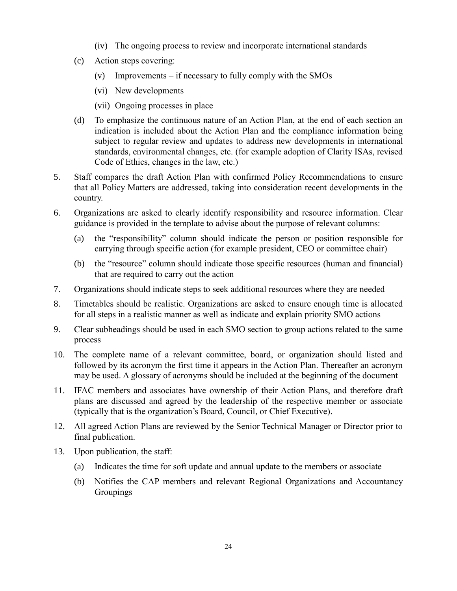- (iv) The ongoing process to review and incorporate international standards
- (c) Action steps covering:
	- (v) Improvements if necessary to fully comply with the SMOs
	- (vi) New developments
	- (vii) Ongoing processes in place
- (d) To emphasize the continuous nature of an Action Plan, at the end of each section an indication is included about the Action Plan and the compliance information being subject to regular review and updates to address new developments in international standards, environmental changes, etc. (for example adoption of Clarity ISAs, revised Code of Ethics, changes in the law, etc.)
- 5. Staff compares the draft Action Plan with confirmed Policy Recommendations to ensure that all Policy Matters are addressed, taking into consideration recent developments in the country.
- 6. Organizations are asked to clearly identify responsibility and resource information. Clear guidance is provided in the template to advise about the purpose of relevant columns:
	- (a) the "responsibility" column should indicate the person or position responsible for carrying through specific action (for example president, CEO or committee chair)
	- (b) the "resource" column should indicate those specific resources (human and financial) that are required to carry out the action
- 7. Organizations should indicate steps to seek additional resources where they are needed
- 8. Timetables should be realistic. Organizations are asked to ensure enough time is allocated for all steps in a realistic manner as well as indicate and explain priority SMO actions
- 9. Clear subheadings should be used in each SMO section to group actions related to the same process
- 10. The complete name of a relevant committee, board, or organization should listed and followed by its acronym the first time it appears in the Action Plan. Thereafter an acronym may be used. A glossary of acronyms should be included at the beginning of the document
- 11. IFAC members and associates have ownership of their Action Plans, and therefore draft plans are discussed and agreed by the leadership of the respective member or associate (typically that is the organization's Board, Council, or Chief Executive).
- 12. All agreed Action Plans are reviewed by the Senior Technical Manager or Director prior to final publication.
- 13. Upon publication, the staff:
	- (a) Indicates the time for soft update and annual update to the members or associate
	- (b) Notifies the CAP members and relevant Regional Organizations and Accountancy Groupings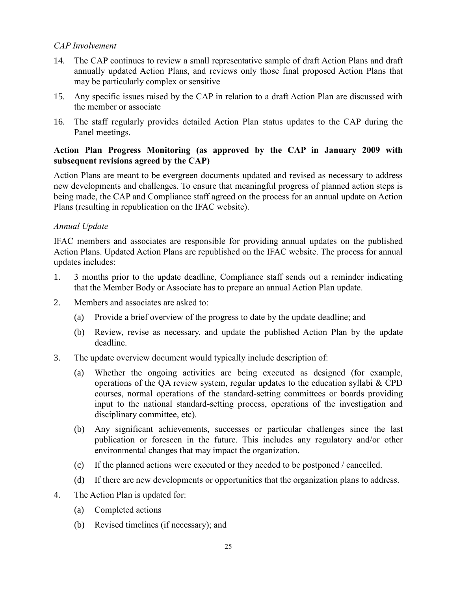### *CAP Involvement*

- 14. The CAP continues to review a small representative sample of draft Action Plans and draft annually updated Action Plans, and reviews only those final proposed Action Plans that may be particularly complex or sensitive
- 15. Any specific issues raised by the CAP in relation to a draft Action Plan are discussed with the member or associate
- 16. The staff regularly provides detailed Action Plan status updates to the CAP during the Panel meetings.

#### **Action Plan Progress Monitoring (as approved by the CAP in January 2009 with subsequent revisions agreed by the CAP)**

Action Plans are meant to be evergreen documents updated and revised as necessary to address new developments and challenges. To ensure that meaningful progress of planned action steps is being made, the CAP and Compliance staff agreed on the process for an annual update on Action Plans (resulting in republication on the IFAC website).

#### *Annual Update*

IFAC members and associates are responsible for providing annual updates on the published Action Plans. Updated Action Plans are republished on the IFAC website. The process for annual updates includes:

- 1. 3 months prior to the update deadline, Compliance staff sends out a reminder indicating that the Member Body or Associate has to prepare an annual Action Plan update.
- 2. Members and associates are asked to:
	- (a) Provide a brief overview of the progress to date by the update deadline; and
	- (b) Review, revise as necessary, and update the published Action Plan by the update deadline.
- 3. The update overview document would typically include description of:
	- (a) Whether the ongoing activities are being executed as designed (for example, operations of the QA review system, regular updates to the education syllabi & CPD courses, normal operations of the standard-setting committees or boards providing input to the national standard-setting process, operations of the investigation and disciplinary committee, etc).
	- (b) Any significant achievements, successes or particular challenges since the last publication or foreseen in the future. This includes any regulatory and/or other environmental changes that may impact the organization.
	- (c) If the planned actions were executed or they needed to be postponed / cancelled.
	- (d) If there are new developments or opportunities that the organization plans to address.
- 4. The Action Plan is updated for:
	- (a) Completed actions
	- (b) Revised timelines (if necessary); and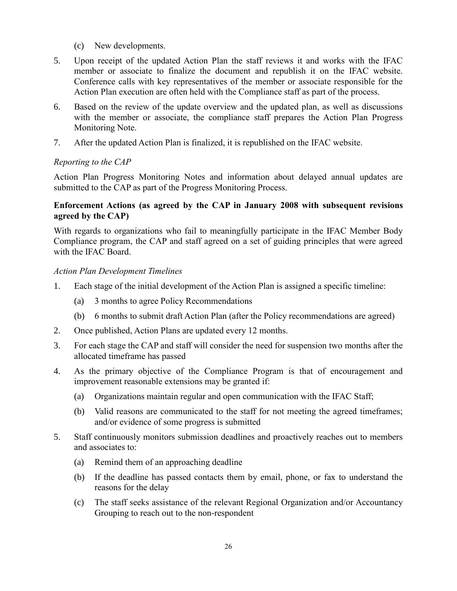- (c) New developments.
- 5. Upon receipt of the updated Action Plan the staff reviews it and works with the IFAC member or associate to finalize the document and republish it on the IFAC website. Conference calls with key representatives of the member or associate responsible for the Action Plan execution are often held with the Compliance staff as part of the process.
- 6. Based on the review of the update overview and the updated plan, as well as discussions with the member or associate, the compliance staff prepares the Action Plan Progress Monitoring Note.
- 7. After the updated Action Plan is finalized, it is republished on the IFAC website.

### *Reporting to the CAP*

Action Plan Progress Monitoring Notes and information about delayed annual updates are submitted to the CAP as part of the Progress Monitoring Process.

#### **Enforcement Actions (as agreed by the CAP in January 2008 with subsequent revisions agreed by the CAP)**

With regards to organizations who fail to meaningfully participate in the IFAC Member Body Compliance program, the CAP and staff agreed on a set of guiding principles that were agreed with the IFAC Board.

#### *Action Plan Development Timelines*

- 1. Each stage of the initial development of the Action Plan is assigned a specific timeline:
	- (a) 3 months to agree Policy Recommendations
	- (b) 6 months to submit draft Action Plan (after the Policy recommendations are agreed)
- 2. Once published, Action Plans are updated every 12 months.
- 3. For each stage the CAP and staff will consider the need for suspension two months after the allocated timeframe has passed
- 4. As the primary objective of the Compliance Program is that of encouragement and improvement reasonable extensions may be granted if:
	- (a) Organizations maintain regular and open communication with the IFAC Staff;
	- (b) Valid reasons are communicated to the staff for not meeting the agreed timeframes; and/or evidence of some progress is submitted
- 5. Staff continuously monitors submission deadlines and proactively reaches out to members and associates to:
	- (a) Remind them of an approaching deadline
	- (b) If the deadline has passed contacts them by email, phone, or fax to understand the reasons for the delay
	- (c) The staff seeks assistance of the relevant Regional Organization and/or Accountancy Grouping to reach out to the non-respondent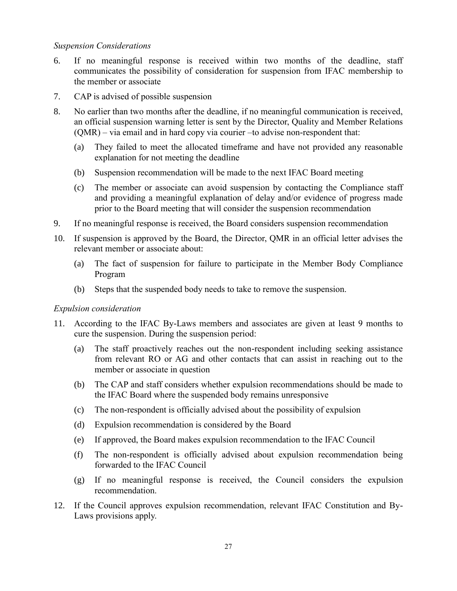#### *Suspension Considerations*

- 6. If no meaningful response is received within two months of the deadline, staff communicates the possibility of consideration for suspension from IFAC membership to the member or associate
- 7. CAP is advised of possible suspension
- 8. No earlier than two months after the deadline, if no meaningful communication is received, an official suspension warning letter is sent by the Director, Quality and Member Relations (QMR) – via email and in hard copy via courier –to advise non-respondent that:
	- (a) They failed to meet the allocated timeframe and have not provided any reasonable explanation for not meeting the deadline
	- (b) Suspension recommendation will be made to the next IFAC Board meeting
	- (c) The member or associate can avoid suspension by contacting the Compliance staff and providing a meaningful explanation of delay and/or evidence of progress made prior to the Board meeting that will consider the suspension recommendation
- 9. If no meaningful response is received, the Board considers suspension recommendation
- 10. If suspension is approved by the Board, the Director, QMR in an official letter advises the relevant member or associate about:
	- (a) The fact of suspension for failure to participate in the Member Body Compliance Program
	- (b) Steps that the suspended body needs to take to remove the suspension.

#### *Expulsion consideration*

- 11. According to the IFAC By-Laws members and associates are given at least 9 months to cure the suspension. During the suspension period:
	- (a) The staff proactively reaches out the non-respondent including seeking assistance from relevant RO or AG and other contacts that can assist in reaching out to the member or associate in question
	- (b) The CAP and staff considers whether expulsion recommendations should be made to the IFAC Board where the suspended body remains unresponsive
	- (c) The non-respondent is officially advised about the possibility of expulsion
	- (d) Expulsion recommendation is considered by the Board
	- (e) If approved, the Board makes expulsion recommendation to the IFAC Council
	- (f) The non-respondent is officially advised about expulsion recommendation being forwarded to the IFAC Council
	- (g) If no meaningful response is received, the Council considers the expulsion recommendation.
- 12. If the Council approves expulsion recommendation, relevant IFAC Constitution and By-Laws provisions apply.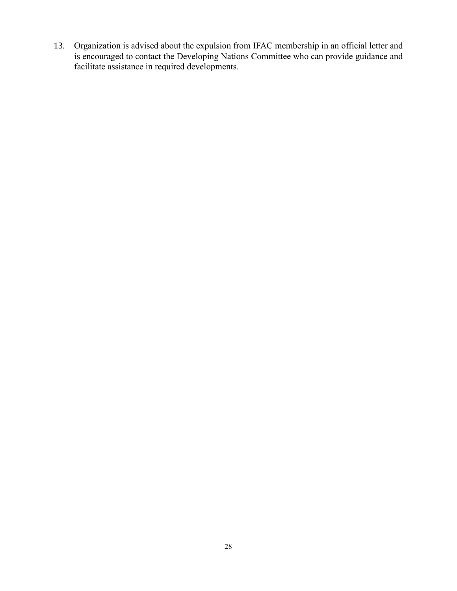13. Organization is advised about the expulsion from IFAC membership in an official letter and is encouraged to contact the Developing Nations Committee who can provide guidance and facilitate assistance in required developments.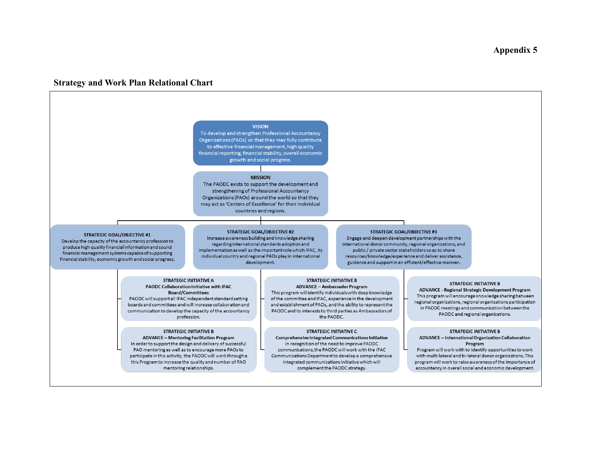#### **Appendix 5**

#### **Strategy and Work Plan Relational Chart**



To develop and strengthen Professional Accountancy Organizations (PAOs) so that they may fully contribute to effective financial management, high quality financial reporting, financial stability, overall economic growth and social progress.

#### **MISSION**

The PAODC exists to support the development and strengthening of Professional Accountancy Organizations (PAOs) around the world so that they may act as 'Centers of Excellence' for their individual countries and regions.

#### **STRATEGIC GOAL/OBJECTIVE #1**

<span id="page-28-0"></span>Develop the capacity of the accountancy profession to produce high quality financial information and sound financial management systems capable of supporting financial stability, economic growth and social progress.

#### **STRATEGIC GOAL/OBJECTIVE #2**

Increase awareness building and knowledge sharing regarding international standards adoption and implementation as well as the important role which IFAC, its individual country and regional PAOs play in international development.

#### **STRATEGIC GOAL/OBJECTIVE #3** Engage and deepen development partnerships with the international donor community, regional organizations, and public / private sector stakeholders so as to share resources/knowledge/experience and deliver assistance, guidance and support in an efficient/effective manner.

**STRATEGIC INITIATIVE A** PAODC Collaboration Initiative with IFAC **Board/Committees** PAODC will support all IFAC independent standard setting boards and committees and will increase collaboration and communication to develop the capacity of the accountancy profession.

#### **STRATEGIC INITIATIVE B**

**ADVANCE - Mentoring Facilitation Program** In order to support the design and delivery of successful PAO mentoring as well as to encourage more PAOs to participate in this activity, the PAODC will work through a this Program to increase the quality and number of PAO mentoring relationships.

#### **STRATEGIC INITIATIVE B**

**ADVANCE - Ambassador Program** This program will identify individuals with deep knowledge of the committee and IFAC, experience in the development and establishment of PAOs, and the ability to represent the PAODC and its interests to third parties as Ambassadors of the PAODC.

#### **STRATEGIC INITIATIVE C**

Comprehensive Integrated Communications Initiative In recognition of the need to improve PAODC communications, the PAODC will work with the IFAC Communications Department to develop a comprehensive integrated communications initiative which will complement the PAODC strategy.

#### **STRATEGIC INITIATIVE B**

**ADVANCE - Regional Strategic Development Program** This program will encourage knowledge sharing between regional organizations, regional organizations participation in PAODC meetings and communication between the PAODC and regional organizations.

#### **STRATEGIC INITIATIVE B**

ADVANCE - International Organization Collaboration Program

Program will work with to identify opportunities to work with multi-lateral and bi-lateral donor organizations. This program will work to raise awareness of the importance of accountancy in overall social and economic development.